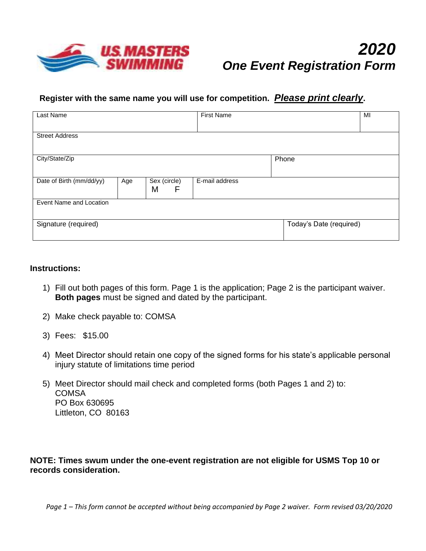

## **Register with the same name you will use for competition.** *Please print clearly***.**

| Last Name                |     |              | <b>First Name</b> |                         | MI |  |  |
|--------------------------|-----|--------------|-------------------|-------------------------|----|--|--|
|                          |     |              |                   |                         |    |  |  |
| <b>Street Address</b>    |     |              |                   |                         |    |  |  |
|                          |     |              |                   |                         |    |  |  |
| City/State/Zip           |     |              |                   | Phone                   |    |  |  |
|                          |     |              |                   |                         |    |  |  |
| Date of Birth (mm/dd/yy) | Age | Sex (circle) | E-mail address    |                         |    |  |  |
|                          |     | M<br>F       |                   |                         |    |  |  |
| Event Name and Location  |     |              |                   |                         |    |  |  |
|                          |     |              |                   |                         |    |  |  |
| Signature (required)     |     |              |                   | Today's Date (required) |    |  |  |
|                          |     |              |                   |                         |    |  |  |

## **Instructions:**

- 1) Fill out both pages of this form. Page 1 is the application; Page 2 is the participant waiver. **Both pages** must be signed and dated by the participant.
- 2) Make check payable to: COMSA
- 3) Fees: \$15.00
- 4) Meet Director should retain one copy of the signed forms for his state's applicable personal injury statute of limitations time period
- 5) Meet Director should mail check and completed forms (both Pages 1 and 2) to: **COMSA** PO Box 630695 Littleton, CO 80163

## **NOTE: Times swum under the one-event registration are not eligible for USMS Top 10 or records consideration.**